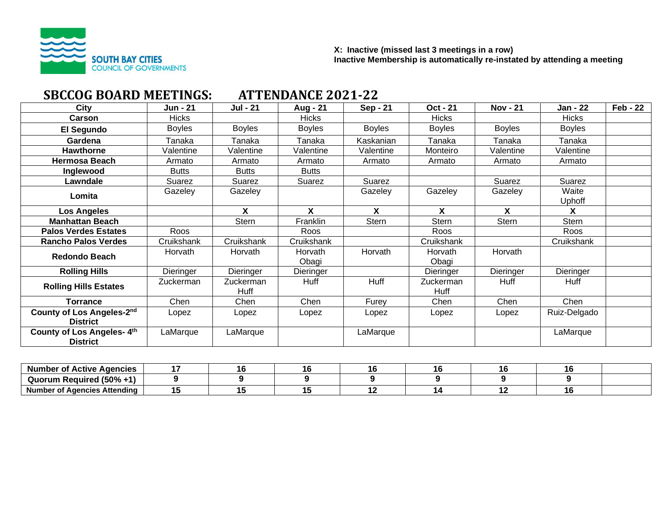

# **SBCCOG BOARD MEETINGS: ATTENDANCE 2021-22**

| City                                         | <b>Jun - 21</b> | <b>Jul - 21</b>           | Aug - 21                | <b>Sep - 21</b> | <b>Oct - 21</b>   | <b>Nov - 21</b> | Jan - 22        | <b>Feb - 22</b> |
|----------------------------------------------|-----------------|---------------------------|-------------------------|-----------------|-------------------|-----------------|-----------------|-----------------|
| Carson                                       | <b>Hicks</b>    |                           | <b>Hicks</b>            |                 | <b>Hicks</b>      |                 | <b>Hicks</b>    |                 |
| El Segundo                                   | <b>Boyles</b>   | <b>Boyles</b>             | <b>Boyles</b>           | <b>Boyles</b>   | <b>Boyles</b>     | <b>Boyles</b>   | <b>Boyles</b>   |                 |
| Gardena                                      | Tanaka          | Tanaka                    | Tanaka                  | Kaskanian       | Tanaka            | Tanaka          | Tanaka          |                 |
| <b>Hawthorne</b>                             | Valentine       | Valentine                 | Valentine               | Valentine       | Monteiro          | Valentine       | Valentine       |                 |
| <b>Hermosa Beach</b>                         | Armato          | Armato                    | Armato                  | Armato          | Armato            | Armato          | Armato          |                 |
| Inglewood                                    | <b>Butts</b>    | <b>Butts</b>              | <b>Butts</b>            |                 |                   |                 |                 |                 |
| Lawndale                                     | Suarez          | Suarez                    | Suarez                  | Suarez          |                   | Suarez          | Suarez          |                 |
| Lomita                                       | Gazeley         | Gazeley                   |                         | Gazeley         | Gazeley           | Gazeley         | Waite<br>Uphoff |                 |
| Los Angeles                                  |                 | $\boldsymbol{\mathsf{X}}$ | X                       | X               | X                 | X               | X               |                 |
| <b>Manhattan Beach</b>                       |                 | Stern                     | Franklin                | <b>Stern</b>    | Stern             | <b>Stern</b>    | Stern           |                 |
| <b>Palos Verdes Estates</b>                  | Roos            |                           | Roos                    |                 | Roos              |                 | Roos            |                 |
| <b>Rancho Palos Verdes</b>                   | Cruikshank      | Cruikshank                | Cruikshank              |                 | Cruikshank        |                 | Cruikshank      |                 |
| <b>Redondo Beach</b>                         | Horvath         | Horvath                   | <b>Horvath</b><br>Obagi | Horvath         | Horvath<br>Obagi  | Horvath         |                 |                 |
| <b>Rolling Hills</b>                         | Dieringer       | Dieringer                 | Dieringer               |                 | Dieringer         | Dieringer       | Dieringer       |                 |
| <b>Rolling Hills Estates</b>                 | Zuckerman       | Zuckerman<br>Huff         | Huff                    | Huff            | Zuckerman<br>Huff | Huff            | Huff            |                 |
| <b>Torrance</b>                              | Chen            | Chen                      | Chen                    | Furey           | Chen              | Chen            | Chen            |                 |
| County of Los Angeles-2nd<br><b>District</b> | Lopez           | Lopez                     | Lopez                   | Lopez           | Lopez             | Lopez           | Ruiz-Delgado    |                 |
| County of Los Angeles-4th<br><b>District</b> | LaMarque        | LaMarque                  |                         | LaMarque        |                   |                 | LaMarque        |                 |

| <b>Number</b><br>i Active Agencies<br>OT.  |  |  |  |  |
|--------------------------------------------|--|--|--|--|
| Required $(50\% + 1)$<br>Quorum            |  |  |  |  |
| <b>Number</b><br>: Agencies Attending<br>. |  |  |  |  |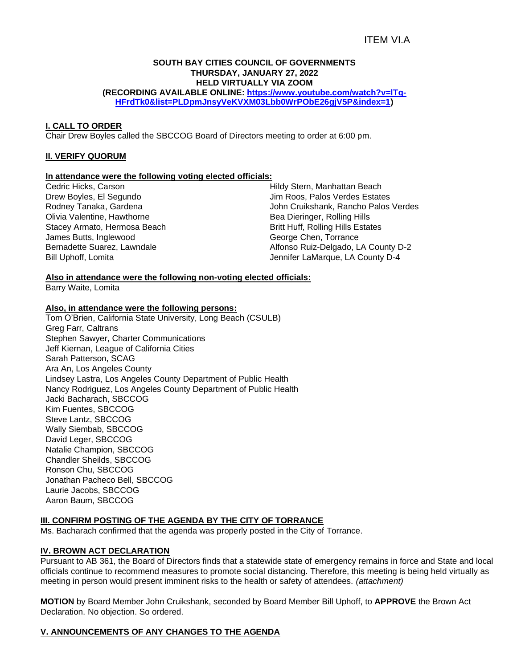## ITEM VI.A

# **SOUTH BAY CITIES COUNCIL OF GOVERNMENTS THURSDAY, JANUARY 27, 2022 HELD VIRTUALLY VIA ZOOM**

**(RECORDING AVAILABLE ONLINE: [https://www.youtube.com/watch?v=lTq-](https://www.youtube.com/watch?v=lTq-HFrdTk0&list=PLDpmJnsyVeKVXM03Lbb0WrPObE26gjV5P&index=1)[HFrdTk0&list=PLDpmJnsyVeKVXM03Lbb0WrPObE26gjV5P&index=1\)](https://www.youtube.com/watch?v=lTq-HFrdTk0&list=PLDpmJnsyVeKVXM03Lbb0WrPObE26gjV5P&index=1)**

### **I. CALL TO ORDER**

Chair Drew Boyles called the SBCCOG Board of Directors meeting to order at 6:00 pm.

## **II. VERIFY QUORUM**

### **In attendance were the following voting elected officials:**

Cedric Hicks, Carson Drew Boyles, El Segundo Rodney Tanaka, Gardena Olivia Valentine, Hawthorne Stacey Armato, Hermosa Beach James Butts, Inglewood Bernadette Suarez, Lawndale Bill Uphoff, Lomita

Hildy Stern, Manhattan Beach Jim Roos, Palos Verdes Estates John Cruikshank, Rancho Palos Verdes Bea Dieringer, Rolling Hills Britt Huff, Rolling Hills Estates George Chen, Torrance Alfonso Ruiz-Delgado, LA County D-2 Jennifer LaMarque, LA County D-4

## **Also in attendance were the following non-voting elected officials:**

Barry Waite, Lomita

## **Also, in attendance were the following persons:**

Tom O'Brien, California State University, Long Beach (CSULB) Greg Farr, Caltrans Stephen Sawyer, Charter Communications Jeff Kiernan, League of California Cities Sarah Patterson, SCAG Ara An, Los Angeles County Lindsey Lastra, Los Angeles County Department of Public Health Nancy Rodriguez, Los Angeles County Department of Public Health Jacki Bacharach, SBCCOG Kim Fuentes, SBCCOG Steve Lantz, SBCCOG Wally Siembab, SBCCOG David Leger, SBCCOG Natalie Champion, SBCCOG Chandler Sheilds, SBCCOG Ronson Chu, SBCCOG Jonathan Pacheco Bell, SBCCOG Laurie Jacobs, SBCCOG Aaron Baum, SBCCOG

### **III. CONFIRM POSTING OF THE AGENDA BY THE CITY OF TORRANCE**

Ms. Bacharach confirmed that the agenda was properly posted in the City of Torrance.

### **IV. BROWN ACT DECLARATION**

Pursuant to AB 361, the Board of Directors finds that a statewide state of emergency remains in force and State and local officials continue to recommend measures to promote social distancing. Therefore, this meeting is being held virtually as meeting in person would present imminent risks to the health or safety of attendees. *(attachment)*

**MOTION** by Board Member John Cruikshank, seconded by Board Member Bill Uphoff, to **APPROVE** the Brown Act Declaration. No objection. So ordered.

### **V. ANNOUNCEMENTS OF ANY CHANGES TO THE AGENDA**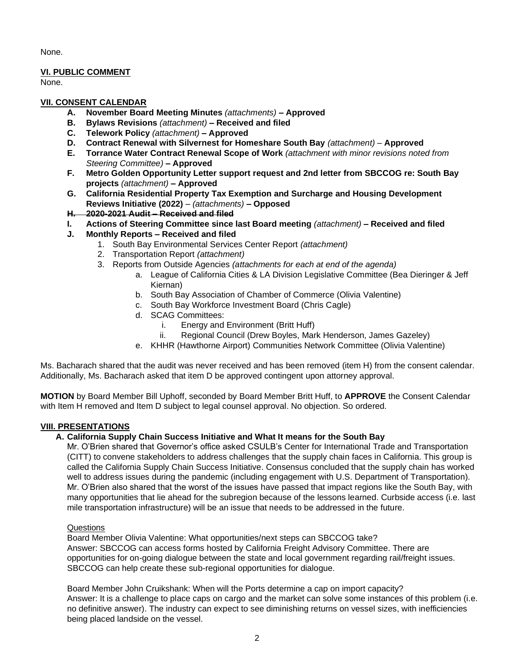None.

## **VI. PUBLIC COMMENT**

None.

## **VII. CONSENT CALENDAR**

- **A. November Board Meeting Minutes** *(attachments) –* **Approved**
- **B. Bylaws Revisions** *(attachment)* **– Received and filed**
- **C. Telework Policy** *(attachment)* **– Approved**
- **D. Contract Renewal with Silvernest for Homeshare South Bay** *(attachment)* **Approved**
- **E. Torrance Water Contract Renewal Scope of Work** *(attachment with minor revisions noted from Steering Committee)* **– Approved**
- **F. Metro Golden Opportunity Letter support request and 2nd letter from SBCCOG re: South Bay projects** *(attachment)* **– Approved**
- **G. California Residential Property Tax Exemption and Surcharge and Housing Development Reviews Initiative (2022)** *– (attachments)* **– Opposed**
- **H. 2020-2021 Audit** *–* **Received and filed**
- **I. Actions of Steering Committee since last Board meeting** *(attachment)* **– Received and filed**
- **J. Monthly Reports – Received and filed**
	- 1. South Bay Environmental Services Center Report *(attachment)*
	- 2. Transportation Report *(attachment)*
	- 3. Reports from Outside Agencies *(attachments for each at end of the agenda)*
		- a. League of California Cities & LA Division Legislative Committee (Bea Dieringer & Jeff Kiernan)
		- b. South Bay Association of Chamber of Commerce (Olivia Valentine)
		- c. South Bay Workforce Investment Board (Chris Cagle)
		- d. SCAG Committees:
			- i. Energy and Environment (Britt Huff)
			- ii. Regional Council (Drew Boyles, Mark Henderson, James Gazeley)
		- e. KHHR (Hawthorne Airport) Communities Network Committee (Olivia Valentine)

Ms. Bacharach shared that the audit was never received and has been removed (item H) from the consent calendar. Additionally, Ms. Bacharach asked that item D be approved contingent upon attorney approval.

**MOTION** by Board Member Bill Uphoff, seconded by Board Member Britt Huff, to **APPROVE** the Consent Calendar with Item H removed and Item D subject to legal counsel approval. No objection. So ordered.

## **VIII. PRESENTATIONS**

## **A. California Supply Chain Success Initiative and What It means for the South Bay**

Mr. O'Brien shared that Governor's office asked CSULB's Center for International Trade and Transportation (CITT) to convene stakeholders to address challenges that the supply chain faces in California. This group is called the California Supply Chain Success Initiative. Consensus concluded that the supply chain has worked well to address issues during the pandemic (including engagement with U.S. Department of Transportation). Mr. O'Brien also shared that the worst of the issues have passed that impact regions like the South Bay, with many opportunities that lie ahead for the subregion because of the lessons learned. Curbside access (i.e. last mile transportation infrastructure) will be an issue that needs to be addressed in the future.

### **Questions**

Board Member Olivia Valentine: What opportunities/next steps can SBCCOG take? Answer: SBCCOG can access forms hosted by California Freight Advisory Committee. There are opportunities for on-going dialogue between the state and local government regarding rail/freight issues. SBCCOG can help create these sub-regional opportunities for dialogue.

Board Member John Cruikshank: When will the Ports determine a cap on import capacity? Answer: It is a challenge to place caps on cargo and the market can solve some instances of this problem (i.e. no definitive answer). The industry can expect to see diminishing returns on vessel sizes, with inefficiencies being placed landside on the vessel.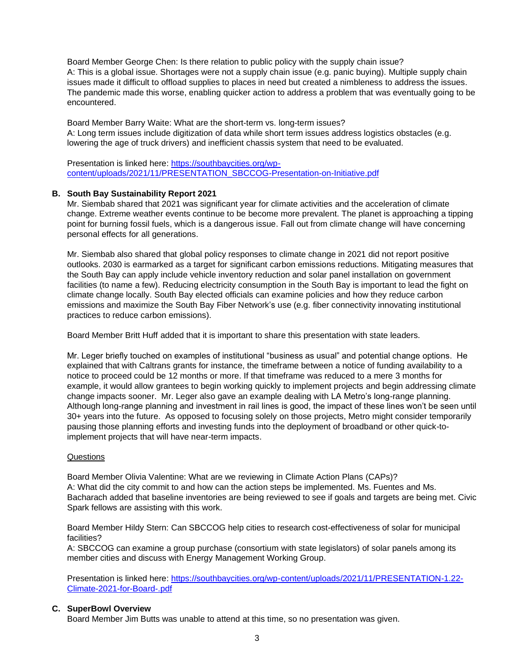Board Member George Chen: Is there relation to public policy with the supply chain issue? A: This is a global issue. Shortages were not a supply chain issue (e.g. panic buying). Multiple supply chain issues made it difficult to offload supplies to places in need but created a nimbleness to address the issues. The pandemic made this worse, enabling quicker action to address a problem that was eventually going to be encountered.

Board Member Barry Waite: What are the short-term vs. long-term issues? A: Long term issues include digitization of data while short term issues address logistics obstacles (e.g. lowering the age of truck drivers) and inefficient chassis system that need to be evaluated.

Presentation is linked here: [https://southbaycities.org/wp](https://southbaycities.org/wp-content/uploads/2021/11/PRESENTATION_SBCCOG-Presentation-on-Initiative.pdf)[content/uploads/2021/11/PRESENTATION\\_SBCCOG-Presentation-on-Initiative.pdf](https://southbaycities.org/wp-content/uploads/2021/11/PRESENTATION_SBCCOG-Presentation-on-Initiative.pdf)

## **B. South Bay Sustainability Report 2021**

Mr. Siembab shared that 2021 was significant year for climate activities and the acceleration of climate change. Extreme weather events continue to be become more prevalent. The planet is approaching a tipping point for burning fossil fuels, which is a dangerous issue. Fall out from climate change will have concerning personal effects for all generations.

Mr. Siembab also shared that global policy responses to climate change in 2021 did not report positive outlooks. 2030 is earmarked as a target for significant carbon emissions reductions. Mitigating measures that the South Bay can apply include vehicle inventory reduction and solar panel installation on government facilities (to name a few). Reducing electricity consumption in the South Bay is important to lead the fight on climate change locally. South Bay elected officials can examine policies and how they reduce carbon emissions and maximize the South Bay Fiber Network's use (e.g. fiber connectivity innovating institutional practices to reduce carbon emissions).

Board Member Britt Huff added that it is important to share this presentation with state leaders.

Mr. Leger briefly touched on examples of institutional "business as usual" and potential change options. He explained that with Caltrans grants for instance, the timeframe between a notice of funding availability to a notice to proceed could be 12 months or more. If that timeframe was reduced to a mere 3 months for example, it would allow grantees to begin working quickly to implement projects and begin addressing climate change impacts sooner. Mr. Leger also gave an example dealing with LA Metro's long-range planning. Although long-range planning and investment in rail lines is good, the impact of these lines won't be seen until 30+ years into the future. As opposed to focusing solely on those projects, Metro might consider temporarily pausing those planning efforts and investing funds into the deployment of broadband or other quick-toimplement projects that will have near-term impacts.

### **Questions**

Board Member Olivia Valentine: What are we reviewing in Climate Action Plans (CAPs)? A: What did the city commit to and how can the action steps be implemented. Ms. Fuentes and Ms. Bacharach added that baseline inventories are being reviewed to see if goals and targets are being met. Civic Spark fellows are assisting with this work.

Board Member Hildy Stern: Can SBCCOG help cities to research cost-effectiveness of solar for municipal facilities?

A: SBCCOG can examine a group purchase (consortium with state legislators) of solar panels among its member cities and discuss with Energy Management Working Group.

Presentation is linked here: [https://southbaycities.org/wp-content/uploads/2021/11/PRESENTATION-1.22-](https://southbaycities.org/wp-content/uploads/2021/11/PRESENTATION-1.22-Climate-2021-for-Board-.pdf) [Climate-2021-for-Board-.pdf](https://southbaycities.org/wp-content/uploads/2021/11/PRESENTATION-1.22-Climate-2021-for-Board-.pdf)

### **C. SuperBowl Overview**

Board Member Jim Butts was unable to attend at this time, so no presentation was given.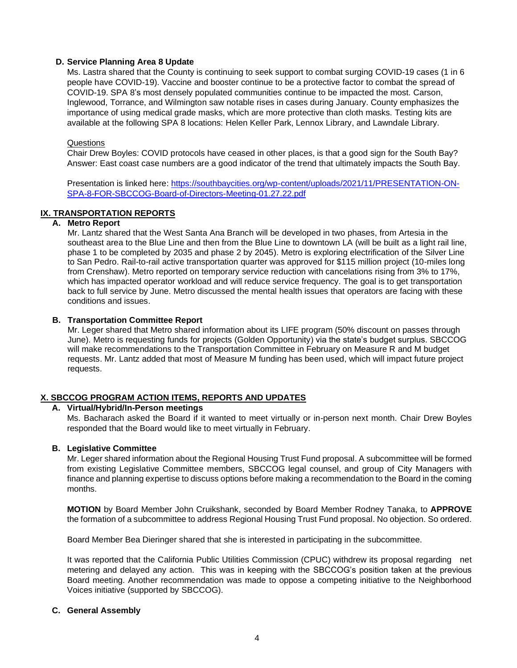## **D. Service Planning Area 8 Update**

Ms. Lastra shared that the County is continuing to seek support to combat surging COVID-19 cases (1 in 6 people have COVID-19). Vaccine and booster continue to be a protective factor to combat the spread of COVID-19. SPA 8's most densely populated communities continue to be impacted the most. Carson, Inglewood, Torrance, and Wilmington saw notable rises in cases during January. County emphasizes the importance of using medical grade masks, which are more protective than cloth masks. Testing kits are available at the following SPA 8 locations: Helen Keller Park, Lennox Library, and Lawndale Library.

### Questions

Chair Drew Boyles: COVID protocols have ceased in other places, is that a good sign for the South Bay? Answer: East coast case numbers are a good indicator of the trend that ultimately impacts the South Bay.

Presentation is linked here: [https://southbaycities.org/wp-content/uploads/2021/11/PRESENTATION-ON-](https://southbaycities.org/wp-content/uploads/2021/11/PRESENTATION-ON-SPA-8-FOR-SBCCOG-Board-of-Directors-Meeting-01.27.22.pdf)[SPA-8-FOR-SBCCOG-Board-of-Directors-Meeting-01.27.22.pdf](https://southbaycities.org/wp-content/uploads/2021/11/PRESENTATION-ON-SPA-8-FOR-SBCCOG-Board-of-Directors-Meeting-01.27.22.pdf)

## **IX. TRANSPORTATION REPORTS**

## **A. Metro Report**

Mr. Lantz shared that the West Santa Ana Branch will be developed in two phases, from Artesia in the southeast area to the Blue Line and then from the Blue Line to downtown LA (will be built as a light rail line, phase 1 to be completed by 2035 and phase 2 by 2045). Metro is exploring electrification of the Silver Line to San Pedro. Rail-to-rail active transportation quarter was approved for \$115 million project (10-miles long from Crenshaw). Metro reported on temporary service reduction with cancelations rising from 3% to 17%, which has impacted operator workload and will reduce service frequency. The goal is to get transportation back to full service by June. Metro discussed the mental health issues that operators are facing with these conditions and issues.

## **B. Transportation Committee Report**

Mr. Leger shared that Metro shared information about its LIFE program (50% discount on passes through June). Metro is requesting funds for projects (Golden Opportunity) via the state's budget surplus. SBCCOG will make recommendations to the Transportation Committee in February on Measure R and M budget requests. Mr. Lantz added that most of Measure M funding has been used, which will impact future project requests.

## **X. SBCCOG PROGRAM ACTION ITEMS, REPORTS AND UPDATES**

## **A. Virtual/Hybrid/In-Person meetings**

Ms. Bacharach asked the Board if it wanted to meet virtually or in-person next month. Chair Drew Boyles responded that the Board would like to meet virtually in February.

### **B. Legislative Committee**

Mr. Leger shared information about the Regional Housing Trust Fund proposal. A subcommittee will be formed from existing Legislative Committee members, SBCCOG legal counsel, and group of City Managers with finance and planning expertise to discuss options before making a recommendation to the Board in the coming months.

**MOTION** by Board Member John Cruikshank, seconded by Board Member Rodney Tanaka, to **APPROVE** the formation of a subcommittee to address Regional Housing Trust Fund proposal. No objection. So ordered.

Board Member Bea Dieringer shared that she is interested in participating in the subcommittee.

It was reported that the California Public Utilities Commission (CPUC) withdrew its proposal regarding net metering and delayed any action. This was in keeping with the SBCCOG's position taken at the previous Board meeting. Another recommendation was made to oppose a competing initiative to the Neighborhood Voices initiative (supported by SBCCOG).

### **C. General Assembly**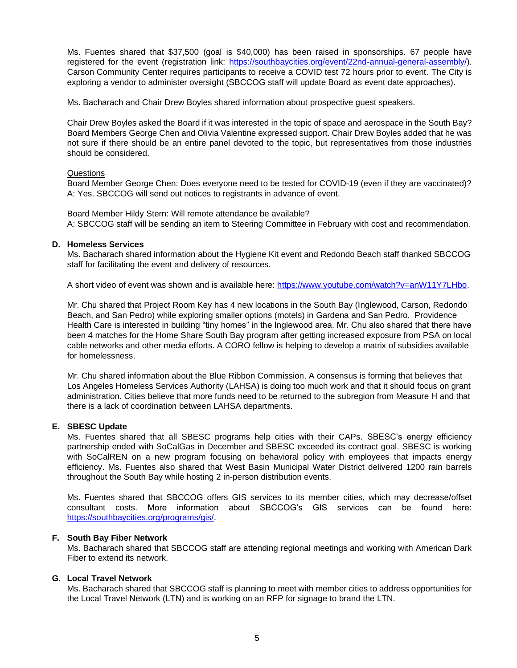Ms. Fuentes shared that \$37,500 (goal is \$40,000) has been raised in sponsorships. 67 people have registered for the event (registration link: [https://southbaycities.org/event/22nd-annual-general-assembly/\)](https://southbaycities.org/event/22nd-annual-general-assembly/). Carson Community Center requires participants to receive a COVID test 72 hours prior to event. The City is exploring a vendor to administer oversight (SBCCOG staff will update Board as event date approaches).

Ms. Bacharach and Chair Drew Boyles shared information about prospective guest speakers.

Chair Drew Boyles asked the Board if it was interested in the topic of space and aerospace in the South Bay? Board Members George Chen and Olivia Valentine expressed support. Chair Drew Boyles added that he was not sure if there should be an entire panel devoted to the topic, but representatives from those industries should be considered.

#### **Questions**

Board Member George Chen: Does everyone need to be tested for COVID-19 (even if they are vaccinated)? A: Yes. SBCCOG will send out notices to registrants in advance of event.

Board Member Hildy Stern: Will remote attendance be available? A: SBCCOG staff will be sending an item to Steering Committee in February with cost and recommendation.

#### **D. Homeless Services**

Ms. Bacharach shared information about the Hygiene Kit event and Redondo Beach staff thanked SBCCOG staff for facilitating the event and delivery of resources.

A short video of event was shown and is available here: [https://www.youtube.com/watch?v=anW11Y7LHbo.](https://www.youtube.com/watch?v=anW11Y7LHbo)

Mr. Chu shared that Project Room Key has 4 new locations in the South Bay (Inglewood, Carson, Redondo Beach, and San Pedro) while exploring smaller options (motels) in Gardena and San Pedro. Providence Health Care is interested in building "tiny homes" in the Inglewood area. Mr. Chu also shared that there have been 4 matches for the Home Share South Bay program after getting increased exposure from PSA on local cable networks and other media efforts. A CORO fellow is helping to develop a matrix of subsidies available for homelessness.

Mr. Chu shared information about the Blue Ribbon Commission. A consensus is forming that believes that Los Angeles Homeless Services Authority (LAHSA) is doing too much work and that it should focus on grant administration. Cities believe that more funds need to be returned to the subregion from Measure H and that there is a lack of coordination between LAHSA departments.

### **E. SBESC Update**

Ms. Fuentes shared that all SBESC programs help cities with their CAPs. SBESC's energy efficiency partnership ended with SoCalGas in December and SBESC exceeded its contract goal. SBESC is working with SoCalREN on a new program focusing on behavioral policy with employees that impacts energy efficiency. Ms. Fuentes also shared that West Basin Municipal Water District delivered 1200 rain barrels throughout the South Bay while hosting 2 in-person distribution events.

Ms. Fuentes shared that SBCCOG offers GIS services to its member cities, which may decrease/offset consultant costs. More information about SBCCOG's GIS services can be found here: [https://southbaycities.org/programs/gis/.](https://southbaycities.org/programs/gis/)

### **F. South Bay Fiber Network**

Ms. Bacharach shared that SBCCOG staff are attending regional meetings and working with American Dark Fiber to extend its network.

### **G. Local Travel Network**

Ms. Bacharach shared that SBCCOG staff is planning to meet with member cities to address opportunities for the Local Travel Network (LTN) and is working on an RFP for signage to brand the LTN.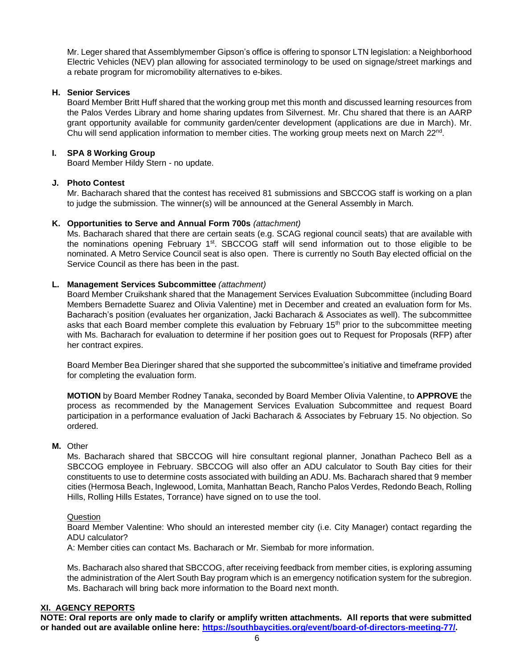Mr. Leger shared that Assemblymember Gipson's office is offering to sponsor LTN legislation: a Neighborhood Electric Vehicles (NEV) plan allowing for associated terminology to be used on signage/street markings and a rebate program for micromobility alternatives to e-bikes.

## **H. Senior Services**

Board Member Britt Huff shared that the working group met this month and discussed learning resources from the Palos Verdes Library and home sharing updates from Silvernest. Mr. Chu shared that there is an AARP grant opportunity available for community garden/center development (applications are due in March). Mr. Chu will send application information to member cities. The working group meets next on March 22<sup>nd</sup>.

## **I. SPA 8 Working Group**

Board Member Hildy Stern - no update.

## **J. Photo Contest**

Mr. Bacharach shared that the contest has received 81 submissions and SBCCOG staff is working on a plan to judge the submission. The winner(s) will be announced at the General Assembly in March.

## **K. Opportunities to Serve and Annual Form 700s** *(attachment)*

Ms. Bacharach shared that there are certain seats (e.g. SCAG regional council seats) that are available with the nominations opening February 1<sup>st</sup>. SBCCOG staff will send information out to those eligible to be nominated. A Metro Service Council seat is also open. There is currently no South Bay elected official on the Service Council as there has been in the past.

## **L. Management Services Subcommittee** *(attachment)*

Board Member Cruikshank shared that the Management Services Evaluation Subcommittee (including Board Members Bernadette Suarez and Olivia Valentine) met in December and created an evaluation form for Ms. Bacharach's position (evaluates her organization, Jacki Bacharach & Associates as well). The subcommittee asks that each Board member complete this evaluation by February 15<sup>th</sup> prior to the subcommittee meeting with Ms. Bacharach for evaluation to determine if her position goes out to Request for Proposals (RFP) after her contract expires.

Board Member Bea Dieringer shared that she supported the subcommittee's initiative and timeframe provided for completing the evaluation form.

**MOTION** by Board Member Rodney Tanaka, seconded by Board Member Olivia Valentine, to **APPROVE** the process as recommended by the Management Services Evaluation Subcommittee and request Board participation in a performance evaluation of Jacki Bacharach & Associates by February 15. No objection. So ordered.

### **M.** Other

Ms. Bacharach shared that SBCCOG will hire consultant regional planner, Jonathan Pacheco Bell as a SBCCOG employee in February. SBCCOG will also offer an ADU calculator to South Bay cities for their constituents to use to determine costs associated with building an ADU. Ms. Bacharach shared that 9 member cities (Hermosa Beach, Inglewood, Lomita, Manhattan Beach, Rancho Palos Verdes, Redondo Beach, Rolling Hills, Rolling Hills Estates, Torrance) have signed on to use the tool.

### **Question**

Board Member Valentine: Who should an interested member city (i.e. City Manager) contact regarding the ADU calculator?

A: Member cities can contact Ms. Bacharach or Mr. Siembab for more information.

Ms. Bacharach also shared that SBCCOG, after receiving feedback from member cities, is exploring assuming the administration of the Alert South Bay program which is an emergency notification system for the subregion. Ms. Bacharach will bring back more information to the Board next month.

### **XI. AGENCY REPORTS**

**NOTE: Oral reports are only made to clarify or amplify written attachments. All reports that were submitted or handed out are available online here: [https://southbaycities.org/event/board-of-directors-meeting-77/.](https://southbaycities.org/event/board-of-directors-meeting-77/)**